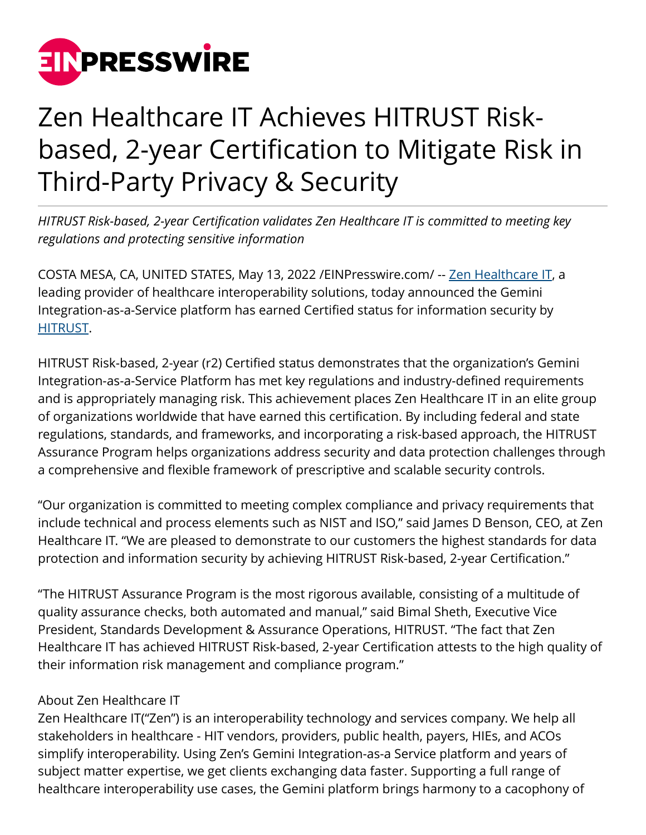

## Zen Healthcare IT Achieves HITRUST Riskbased, 2-year Certification to Mitigate Risk in Third-Party Privacy & Security

*HITRUST Risk-based, 2-year Certification validates Zen Healthcare IT is committed to meeting key regulations and protecting sensitive information*

COSTA MESA, CA, UNITED STATES, May 13, 2022 [/EINPresswire.com](http://www.einpresswire.com)/ -- [Zen Healthcare IT](https://consultzen.com/), a leading provider of healthcare interoperability solutions, today announced the Gemini Integration-as-a-Service platform has earned Certified status for information security by [HITRUST](https://hitrustalliance.net/).

HITRUST Risk-based, 2-year (r2) Certified status demonstrates that the organization's Gemini Integration-as-a-Service Platform has met key regulations and industry-defined requirements and is appropriately managing risk. This achievement places Zen Healthcare IT in an elite group of organizations worldwide that have earned this certification. By including federal and state regulations, standards, and frameworks, and incorporating a risk-based approach, the HITRUST Assurance Program helps organizations address security and data protection challenges through a comprehensive and flexible framework of prescriptive and scalable security controls.

"Our organization is committed to meeting complex compliance and privacy requirements that include technical and process elements such as NIST and ISO," said James D Benson, CEO, at Zen Healthcare IT. "We are pleased to demonstrate to our customers the highest standards for data protection and information security by achieving HITRUST Risk-based, 2-year Certification."

"The HITRUST Assurance Program is the most rigorous available, consisting of a multitude of quality assurance checks, both automated and manual," said Bimal Sheth, Executive Vice President, Standards Development & Assurance Operations, HITRUST. "The fact that Zen Healthcare IT has achieved HITRUST Risk-based, 2-year Certification attests to the high quality of their information risk management and compliance program."

## About Zen Healthcare IT

Zen Healthcare IT("Zen") is an interoperability technology and services company. We help all stakeholders in healthcare - HIT vendors, providers, public health, payers, HIEs, and ACOs simplify interoperability. Using Zen's Gemini Integration-as-a Service platform and years of subject matter expertise, we get clients exchanging data faster. Supporting a full range of healthcare interoperability use cases, the Gemini platform brings harmony to a cacophony of